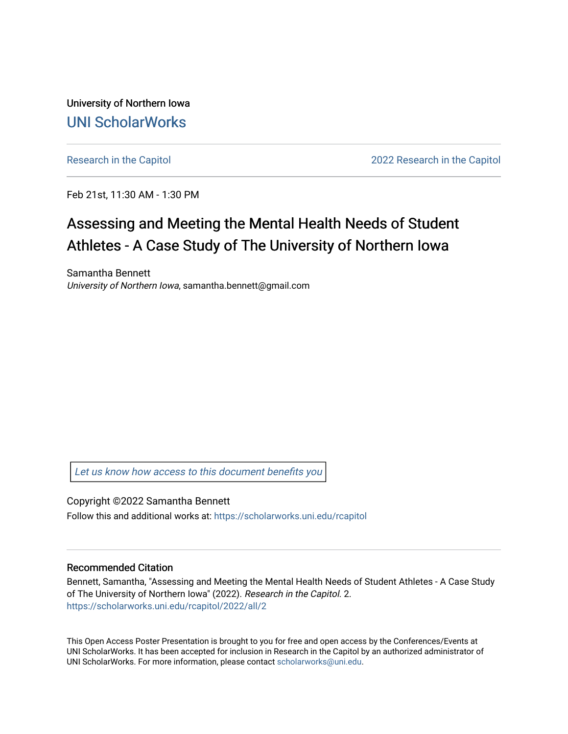University of Northern Iowa [UNI ScholarWorks](https://scholarworks.uni.edu/) 

[Research in the Capitol](https://scholarworks.uni.edu/rcapitol) 2022 Research in the Capitol

Feb 21st, 11:30 AM - 1:30 PM

### Assessing and Meeting the Mental Health Needs of Student Athletes - A Case Study of The University of Northern Iowa

Samantha Bennett University of Northern Iowa, samantha.bennett@gmail.com

[Let us know how access to this document benefits you](https://scholarworks.uni.edu/feedback_form.html) 

Copyright ©2022 Samantha Bennett Follow this and additional works at: [https://scholarworks.uni.edu/rcapitol](https://scholarworks.uni.edu/rcapitol?utm_source=scholarworks.uni.edu%2Frcapitol%2F2022%2Fall%2F2&utm_medium=PDF&utm_campaign=PDFCoverPages) 

### Recommended Citation

Bennett, Samantha, "Assessing and Meeting the Mental Health Needs of Student Athletes - A Case Study of The University of Northern Iowa" (2022). Research in the Capitol. 2. [https://scholarworks.uni.edu/rcapitol/2022/all/2](https://scholarworks.uni.edu/rcapitol/2022/all/2?utm_source=scholarworks.uni.edu%2Frcapitol%2F2022%2Fall%2F2&utm_medium=PDF&utm_campaign=PDFCoverPages)

This Open Access Poster Presentation is brought to you for free and open access by the Conferences/Events at UNI ScholarWorks. It has been accepted for inclusion in Research in the Capitol by an authorized administrator of UNI ScholarWorks. For more information, please contact [scholarworks@uni.edu.](mailto:scholarworks@uni.edu)